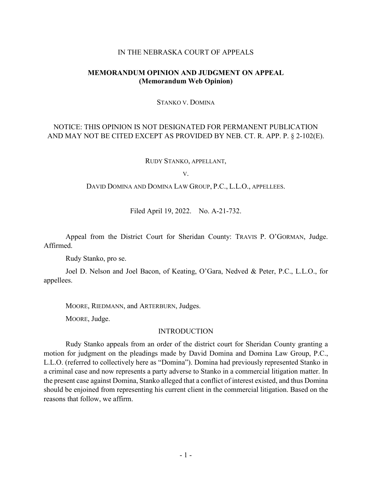### IN THE NEBRASKA COURT OF APPEALS

## **MEMORANDUM OPINION AND JUDGMENT ON APPEAL (Memorandum Web Opinion)**

STANKO V. DOMINA

# NOTICE: THIS OPINION IS NOT DESIGNATED FOR PERMANENT PUBLICATION AND MAY NOT BE CITED EXCEPT AS PROVIDED BY NEB. CT. R. APP. P. § 2-102(E).

RUDY STANKO, APPELLANT,

V.

DAVID DOMINA AND DOMINA LAW GROUP, P.C., L.L.O., APPELLEES.

Filed April 19, 2022. No. A-21-732.

Appeal from the District Court for Sheridan County: TRAVIS P. O'GORMAN, Judge. Affirmed.

Rudy Stanko, pro se.

Joel D. Nelson and Joel Bacon, of Keating, O'Gara, Nedved & Peter, P.C., L.L.O., for appellees.

MOORE, RIEDMANN, and ARTERBURN, Judges.

MOORE, Judge.

## **INTRODUCTION**

Rudy Stanko appeals from an order of the district court for Sheridan County granting a motion for judgment on the pleadings made by David Domina and Domina Law Group, P.C., L.L.O. (referred to collectively here as "Domina"). Domina had previously represented Stanko in a criminal case and now represents a party adverse to Stanko in a commercial litigation matter. In the present case against Domina, Stanko alleged that a conflict of interest existed, and thus Domina should be enjoined from representing his current client in the commercial litigation. Based on the reasons that follow, we affirm.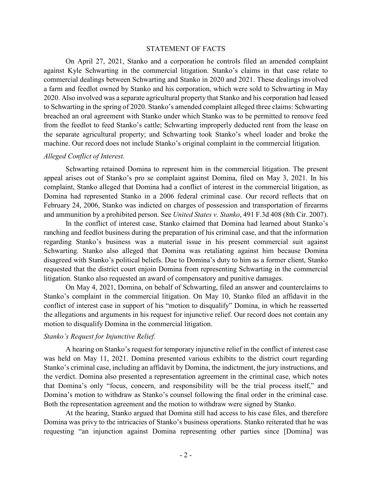#### STATEMENT OF FACTS

On April 27, 2021, Stanko and a corporation he controls filed an amended complaint against Kyle Schwarting in the commercial litigation. Stanko's claims in that case relate to commercial dealings between Schwarting and Stanko in 2020 and 2021. These dealings involved a farm and feedlot owned by Stanko and his corporation, which were sold to Schwarting in May 2020. Also involved was a separate agricultural property that Stanko and his corporation had leased to Schwarting in the spring of 2020. Stanko's amended complaint alleged three claims: Schwarting breached an oral agreement with Stanko under which Stanko was to be permitted to remove feed from the feedlot to feed Stanko's cattle; Schwarting improperly deducted rent from the lease on the separate agricultural property; and Schwarting took Stanko's wheel loader and broke the machine. Our record does not include Stanko's original complaint in the commercial litigation.

#### *Alleged Conflict of Interest.*

Schwarting retained Domina to represent him in the commercial litigation. The present appeal arises out of Stanko's pro se complaint against Domina, filed on May 3, 2021. In his complaint, Stanko alleged that Domina had a conflict of interest in the commercial litigation, as Domina had represented Stanko in a 2006 federal criminal case. Our record reflects that on February 24, 2006, Stanko was indicted on charges of possession and transportation of firearms and ammunition by a prohibited person. See *United States v. Stanko*, 491 F.3d 408 (8th Cir. 2007).

In the conflict of interest case, Stanko claimed that Domina had learned about Stanko's ranching and feedlot business during the preparation of his criminal case, and that the information regarding Stanko's business was a material issue in his present commercial suit against Schwarting. Stanko also alleged that Domina was retaliating against him because Domina disagreed with Stanko's political beliefs. Due to Domina's duty to him as a former client, Stanko requested that the district court enjoin Domina from representing Schwarting in the commercial litigation. Stanko also requested an award of compensatory and punitive damages.

On May 4, 2021, Domina, on behalf of Schwarting, filed an answer and counterclaims to Stanko's complaint in the commercial litigation. On May 10, Stanko filed an affidavit in the conflict of interest case in support of his "motion to disqualify" Domina, in which he reasserted the allegations and arguments in his request for injunctive relief. Our record does not contain any motion to disqualify Domina in the commercial litigation.

#### *Stanko's Request for Injunctive Relief.*

A hearing on Stanko's request for temporary injunctive relief in the conflict of interest case was held on May 11, 2021. Domina presented various exhibits to the district court regarding Stanko's criminal case, including an affidavit by Domina, the indictment, the jury instructions, and the verdict. Domina also presented a representation agreement in the criminal case, which notes that Domina's only "focus, concern, and responsibility will be the trial process itself," and Domina's motion to withdraw as Stanko's counsel following the final order in the criminal case. Both the representation agreement and the motion to withdraw were signed by Stanko.

At the hearing, Stanko argued that Domina still had access to his case files, and therefore Domina was privy to the intricacies of Stanko's business operations. Stanko reiterated that he was requesting "an injunction against Domina representing other parties since [Domina] was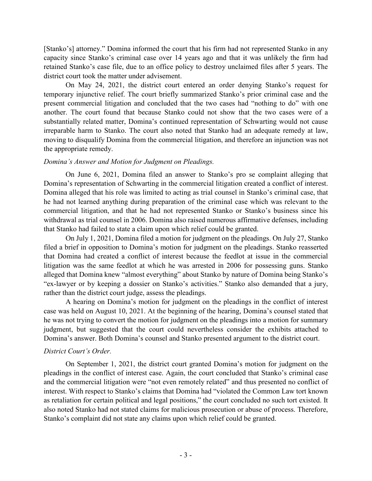[Stanko's] attorney." Domina informed the court that his firm had not represented Stanko in any capacity since Stanko's criminal case over 14 years ago and that it was unlikely the firm had retained Stanko's case file, due to an office policy to destroy unclaimed files after 5 years. The district court took the matter under advisement.

On May 24, 2021, the district court entered an order denying Stanko's request for temporary injunctive relief. The court briefly summarized Stanko's prior criminal case and the present commercial litigation and concluded that the two cases had "nothing to do" with one another. The court found that because Stanko could not show that the two cases were of a substantially related matter, Domina's continued representation of Schwarting would not cause irreparable harm to Stanko. The court also noted that Stanko had an adequate remedy at law, moving to disqualify Domina from the commercial litigation, and therefore an injunction was not the appropriate remedy.

## *Domina's Answer and Motion for Judgment on Pleadings.*

On June 6, 2021, Domina filed an answer to Stanko's pro se complaint alleging that Domina's representation of Schwarting in the commercial litigation created a conflict of interest. Domina alleged that his role was limited to acting as trial counsel in Stanko's criminal case, that he had not learned anything during preparation of the criminal case which was relevant to the commercial litigation, and that he had not represented Stanko or Stanko's business since his withdrawal as trial counsel in 2006. Domina also raised numerous affirmative defenses, including that Stanko had failed to state a claim upon which relief could be granted.

On July 1, 2021, Domina filed a motion for judgment on the pleadings. On July 27, Stanko filed a brief in opposition to Domina's motion for judgment on the pleadings. Stanko reasserted that Domina had created a conflict of interest because the feedlot at issue in the commercial litigation was the same feedlot at which he was arrested in 2006 for possessing guns. Stanko alleged that Domina knew "almost everything" about Stanko by nature of Domina being Stanko's "ex-lawyer or by keeping a dossier on Stanko's activities." Stanko also demanded that a jury, rather than the district court judge, assess the pleadings.

A hearing on Domina's motion for judgment on the pleadings in the conflict of interest case was held on August 10, 2021. At the beginning of the hearing, Domina's counsel stated that he was not trying to convert the motion for judgment on the pleadings into a motion for summary judgment, but suggested that the court could nevertheless consider the exhibits attached to Domina's answer. Both Domina's counsel and Stanko presented argument to the district court.

# *District Court's Order.*

On September 1, 2021, the district court granted Domina's motion for judgment on the pleadings in the conflict of interest case. Again, the court concluded that Stanko's criminal case and the commercial litigation were "not even remotely related" and thus presented no conflict of interest. With respect to Stanko's claims that Domina had "violated the Common Law tort known as retaliation for certain political and legal positions," the court concluded no such tort existed. It also noted Stanko had not stated claims for malicious prosecution or abuse of process. Therefore, Stanko's complaint did not state any claims upon which relief could be granted.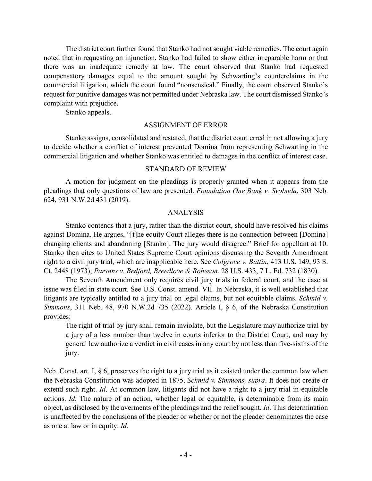The district court further found that Stanko had not sought viable remedies. The court again noted that in requesting an injunction, Stanko had failed to show either irreparable harm or that there was an inadequate remedy at law. The court observed that Stanko had requested compensatory damages equal to the amount sought by Schwarting's counterclaims in the commercial litigation, which the court found "nonsensical." Finally, the court observed Stanko's request for punitive damages was not permitted under Nebraska law. The court dismissed Stanko's complaint with prejudice.

Stanko appeals.

#### ASSIGNMENT OF ERROR

Stanko assigns, consolidated and restated, that the district court erred in not allowing a jury to decide whether a conflict of interest prevented Domina from representing Schwarting in the commercial litigation and whether Stanko was entitled to damages in the conflict of interest case.

#### STANDARD OF REVIEW

A motion for judgment on the pleadings is properly granted when it appears from the pleadings that only questions of law are presented. *Foundation One Bank v. Svoboda*, 303 Neb. 624, 931 N.W.2d 431 (2019).

### ANALYSIS

Stanko contends that a jury, rather than the district court, should have resolved his claims against Domina. He argues, "[t]he equity Court alleges there is no connection between [Domina] changing clients and abandoning [Stanko]. The jury would disagree." Brief for appellant at 10. Stanko then cites to United States Supreme Court opinions discussing the Seventh Amendment right to a civil jury trial, which are inapplicable here. See *Colgrove v. Battin*, 413 U.S. 149, 93 S. Ct. 2448 (1973); *Parsons v. Bedford, Breedlove & Robeson*, 28 U.S. 433, 7 L. Ed. 732 (1830).

The Seventh Amendment only requires civil jury trials in federal court, and the case at issue was filed in state court. See U.S. Const. amend. VII. In Nebraska, it is well established that litigants are typically entitled to a jury trial on legal claims, but not equitable claims. *Schmid v. Simmons*, 311 Neb. 48, 970 N.W.2d 735 (2022). Article I, § 6, of the Nebraska Constitution provides:

The right of trial by jury shall remain inviolate, but the Legislature may authorize trial by a jury of a less number than twelve in courts inferior to the District Court, and may by general law authorize a verdict in civil cases in any court by not less than five-sixths of the jury.

Neb. Const. art. I,  $\S 6$ , preserves the right to a jury trial as it existed under the common law when the Nebraska Constitution was adopted in 1875. *Schmid v. Simmons, supra*. It does not create or extend such right. *Id*. At common law, litigants did not have a right to a jury trial in equitable actions. *Id*. The nature of an action, whether legal or equitable, is determinable from its main object, as disclosed by the averments of the pleadings and the relief sought. *Id*. This determination is unaffected by the conclusions of the pleader or whether or not the pleader denominates the case as one at law or in equity. *Id*.